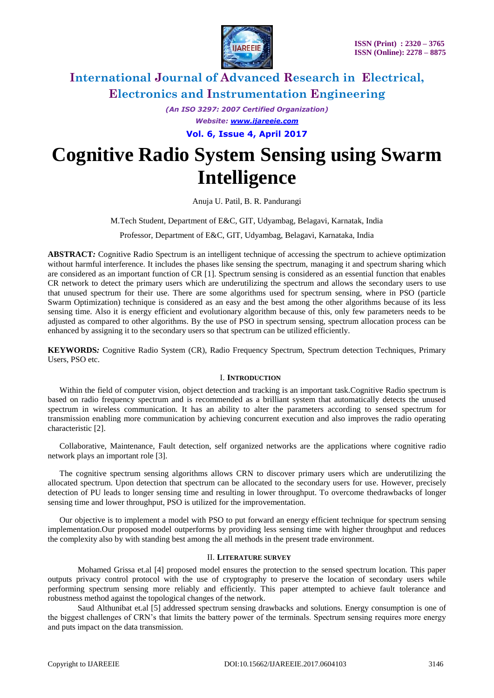

*(An ISO 3297: 2007 Certified Organization) Website: [www.ijareeie.com](http://www.ijareeie.com/)*

**Vol. 6, Issue 4, April 2017**

# **Cognitive Radio System Sensing using Swarm Intelligence**

Anuja U. Patil, B. R. Pandurangi

M.Tech Student, Department of E&C, GIT, Udyambag, Belagavi, Karnatak, India

Professor, Department of E&C, GIT, Udyambag, Belagavi, Karnataka, India

**ABSTRACT***:* Cognitive Radio Spectrum is an intelligent technique of accessing the spectrum to achieve optimization without harmful interference. It includes the phases like sensing the spectrum, managing it and spectrum sharing which are considered as an important function of CR [1]. Spectrum sensing is considered as an essential function that enables CR network to detect the primary users which are underutilizing the spectrum and allows the secondary users to use that unused spectrum for their use. There are some algorithms used for spectrum sensing, where in PSO (particle Swarm Optimization) technique is considered as an easy and the best among the other algorithms because of its less sensing time. Also it is energy efficient and evolutionary algorithm because of this, only few parameters needs to be adjusted as compared to other algorithms. By the use of PSO in spectrum sensing, spectrum allocation process can be enhanced by assigning it to the secondary users so that spectrum can be utilized efficiently.

**KEYWORDS***:* Cognitive Radio System (CR), Radio Frequency Spectrum, Spectrum detection Techniques, Primary Users, PSO etc.

### I. **INTRODUCTION**

Within the field of computer vision, object detection and tracking is an important task.Cognitive Radio spectrum is based on radio frequency spectrum and is recommended as a brilliant system that automatically detects the unused spectrum in wireless communication. It has an ability to alter the parameters according to sensed spectrum for transmission enabling more communication by achieving concurrent execution and also improves the radio operating characteristic [2].

Collaborative, Maintenance, Fault detection, self organized networks are the applications where cognitive radio network plays an important role [3].

The cognitive spectrum sensing algorithms allows CRN to discover primary users which are underutilizing the allocated spectrum. Upon detection that spectrum can be allocated to the secondary users for use. However, precisely detection of PU leads to longer sensing time and resulting in lower throughput. To overcome thedrawbacks of longer sensing time and lower throughput, PSO is utilized for the improvementation.

Our objective is to implement a model with PSO to put forward an energy efficient technique for spectrum sensing implementation.Our proposed model outperforms by providing less sensing time with higher throughput and reduces the complexity also by with standing best among the all methods in the present trade environment.

#### II. **LITERATURE SURVEY**

Mohamed Grissa et.al [4] proposed model ensures the protection to the sensed spectrum location. This paper outputs privacy control protocol with the use of cryptography to preserve the location of secondary users while performing spectrum sensing more reliably and efficiently. This paper attempted to achieve fault tolerance and robustness method against the topological changes of the network.

Saud Althunibat et.al [5] addressed spectrum sensing drawbacks and solutions. Energy consumption is one of the biggest challenges of CRN"s that limits the battery power of the terminals. Spectrum sensing requires more energy and puts impact on the data transmission.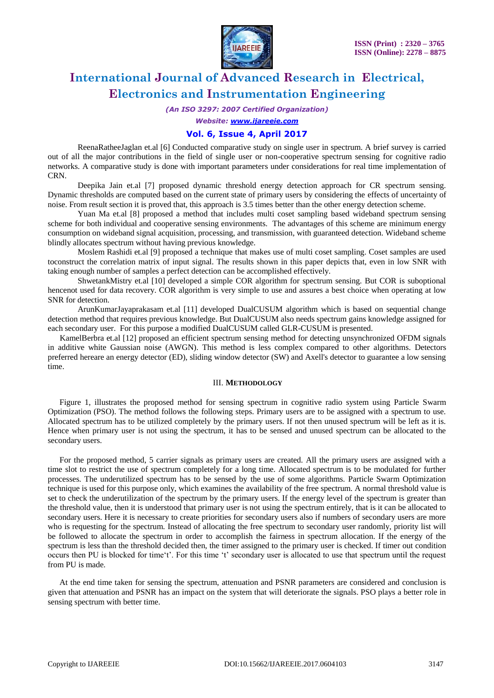

*(An ISO 3297: 2007 Certified Organization)*

*Website: [www.ijareeie.com](http://www.ijareeie.com/)*

### **Vol. 6, Issue 4, April 2017**

ReenaRatheeJaglan et.al [6] Conducted comparative study on single user in spectrum. A brief survey is carried out of all the major contributions in the field of single user or non-cooperative spectrum sensing for cognitive radio networks. A comparative study is done with important parameters under considerations for real time implementation of CRN.

Deepika Jain et.al [7] proposed dynamic threshold energy detection approach for CR spectrum sensing. Dynamic thresholds are computed based on the current state of primary users by considering the effects of uncertainty of noise. From result section it is proved that, this approach is 3.5 times better than the other energy detection scheme.

Yuan Ma et.al [8] proposed a method that includes multi coset sampling based wideband spectrum sensing scheme for both individual and cooperative sensing environments. The advantages of this scheme are minimum energy consumption on wideband signal acquisition, processing, and transmission, with guaranteed detection. Wideband scheme blindly allocates spectrum without having previous knowledge.

Moslem Rashidi et.al [9] proposed a technique that makes use of multi coset sampling. Coset samples are used toconstruct the correlation matrix of input signal. The results shown in this paper depicts that, even in low SNR with taking enough number of samples a perfect detection can be accomplished effectively.

ShwetankMistry et.al [10] developed a simple COR algorithm for spectrum sensing. But COR is suboptional hencenot used for data recovery. COR algorithm is very simple to use and assures a best choice when operating at low SNR for detection.

ArunKumarJayaprakasam et.al [11] developed DualCUSUM algorithm which is based on sequential change detection method that requires previous knowledge. But DualCUSUM also needs spectrum gains knowledge assigned for each secondary user. For this purpose a modified DualCUSUM called GLR-CUSUM is presented.

KamelBerbra et.al [12] proposed an efficient spectrum sensing method for detecting unsynchronized OFDM signals in additive white Gaussian noise (AWGN). This method is less complex compared to other algorithms. Detectors preferred hereare an energy detector (ED), sliding window detector (SW) and Axell's detector to guarantee a low sensing time.

#### III. **METHODOLOGY**

Figure 1, illustrates the proposed method for sensing spectrum in cognitive radio system using Particle Swarm Optimization (PSO). The method follows the following steps. Primary users are to be assigned with a spectrum to use. Allocated spectrum has to be utilized completely by the primary users. If not then unused spectrum will be left as it is. Hence when primary user is not using the spectrum, it has to be sensed and unused spectrum can be allocated to the secondary users.

For the proposed method, 5 carrier signals as primary users are created. All the primary users are assigned with a time slot to restrict the use of spectrum completely for a long time. Allocated spectrum is to be modulated for further processes. The underutilized spectrum has to be sensed by the use of some algorithms. Particle Swarm Optimization technique is used for this purpose only, which examines the availability of the free spectrum. A normal threshold value is set to check the underutilization of the spectrum by the primary users. If the energy level of the spectrum is greater than the threshold value, then it is understood that primary user is not using the spectrum entirely, that is it can be allocated to secondary users. Here it is necessary to create priorities for secondary users also if numbers of secondary users are more who is requesting for the spectrum. Instead of allocating the free spectrum to secondary user randomly, priority list will be followed to allocate the spectrum in order to accomplish the fairness in spectrum allocation. If the energy of the spectrum is less than the threshold decided then, the timer assigned to the primary user is checked. If timer out condition occurs then PU is blocked for time"t". For this time "t" secondary user is allocated to use that spectrum until the request from PU is made.

At the end time taken for sensing the spectrum, attenuation and PSNR parameters are considered and conclusion is given that attenuation and PSNR has an impact on the system that will deteriorate the signals. PSO plays a better role in sensing spectrum with better time.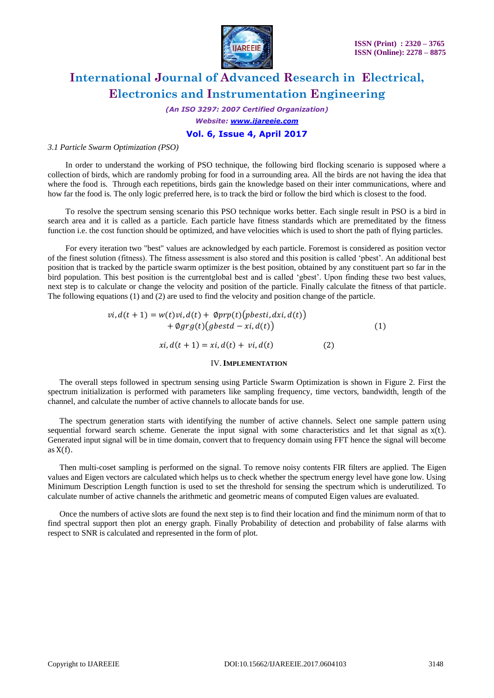

*(An ISO 3297: 2007 Certified Organization) Website: [www.ijareeie.com](http://www.ijareeie.com/)*

### **Vol. 6, Issue 4, April 2017**

#### *3.1 Particle Swarm Optimization (PSO)*

In order to understand the working of PSO technique, the following bird flocking scenario is supposed where a collection of birds, which are randomly probing for food in a surrounding area. All the birds are not having the idea that where the food is. Through each repetitions, birds gain the knowledge based on their inter communications, where and how far the food is. The only logic preferred here, is to track the bird or follow the bird which is closest to the food.

To resolve the spectrum sensing scenario this PSO technique works better. Each single result in PSO is a bird in search area and it is called as a particle. Each particle have fitness standards which are premeditated by the fitness function i.e. the cost function should be optimized, and have velocities which is used to short the path of flying particles.

For every iteration two "best" values are acknowledged by each particle. Foremost is considered as position vector of the finest solution (fitness). The fitness assessment is also stored and this position is called "pbest". An additional best position that is tracked by the particle swarm optimizer is the best position, obtained by any constituent part so far in the bird population. This best position is the currentglobal best and is called "gbest". Upon finding these two best values, next step is to calculate or change the velocity and position of the particle. Finally calculate the fitness of that particle. The following equations (1) and (2) are used to find the velocity and position change of the particle.

$$
vi, d(t + 1) = w(t)vi, d(t) + \emptyset prp(t)(pbesti, dxi, d(t))
$$
  
+  $\emptyset grg(t)(pbestd - xi, d(t))$   

$$
xi, d(t + 1) = xi, d(t) + vi, d(t)
$$
 (2)

#### IV.**IMPLEMENTATION**

The overall steps followed in spectrum sensing using Particle Swarm Optimization is shown in Figure 2. First the spectrum initialization is performed with parameters like sampling frequency, time vectors, bandwidth, length of the channel, and calculate the number of active channels to allocate bands for use.

The spectrum generation starts with identifying the number of active channels. Select one sample pattern using sequential forward search scheme. Generate the input signal with some characteristics and let that signal as  $x(t)$ . Generated input signal will be in time domain, convert that to frequency domain using FFT hence the signal will become as  $X(f)$ .

Then multi-coset sampling is performed on the signal. To remove noisy contents FIR filters are applied. The Eigen values and Eigen vectors are calculated which helps us to check whether the spectrum energy level have gone low. Using Minimum Description Length function is used to set the threshold for sensing the spectrum which is underutilized. To calculate number of active channels the arithmetic and geometric means of computed Eigen values are evaluated.

Once the numbers of active slots are found the next step is to find their location and find the minimum norm of that to find spectral support then plot an energy graph. Finally Probability of detection and probability of false alarms with respect to SNR is calculated and represented in the form of plot.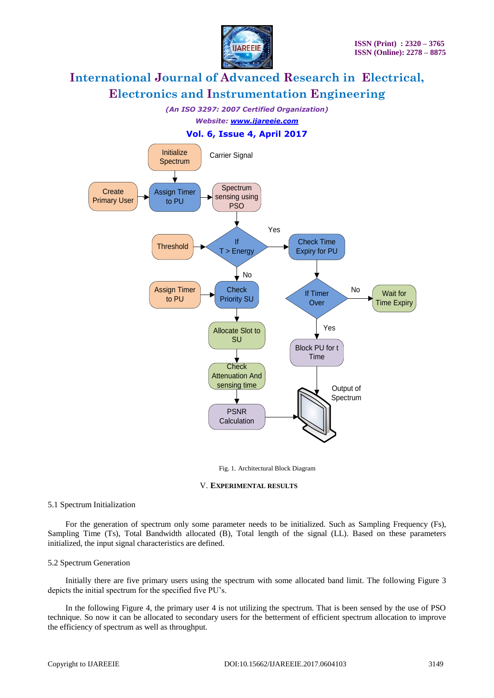

*(An ISO 3297: 2007 Certified Organization)*

*Website: [www.ijareeie.com](http://www.ijareeie.com/)*

### **Vol. 6, Issue 4, April 2017**



Fig. 1. Architectural Block Diagram

#### V. **EXPERIMENTAL RESULTS**

### 5.1 Spectrum Initialization

For the generation of spectrum only some parameter needs to be initialized. Such as Sampling Frequency (Fs), Sampling Time (Ts), Total Bandwidth allocated (B), Total length of the signal (LL). Based on these parameters initialized, the input signal characteristics are defined.

### 5.2 Spectrum Generation

Initially there are five primary users using the spectrum with some allocated band limit. The following Figure 3 depicts the initial spectrum for the specified five PU"s.

In the following Figure 4, the primary user 4 is not utilizing the spectrum. That is been sensed by the use of PSO technique. So now it can be allocated to secondary users for the betterment of efficient spectrum allocation to improve the efficiency of spectrum as well as throughput.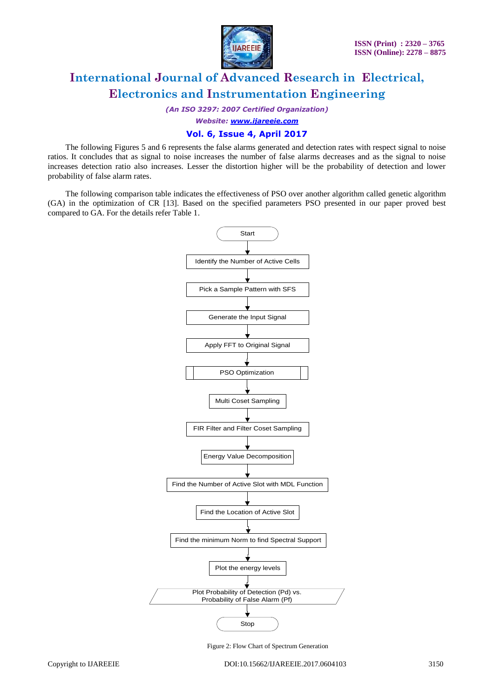

*(An ISO 3297: 2007 Certified Organization)*

*Website: [www.ijareeie.com](http://www.ijareeie.com/)*

### **Vol. 6, Issue 4, April 2017**

The following Figures 5 and 6 represents the false alarms generated and detection rates with respect signal to noise ratios. It concludes that as signal to noise increases the number of false alarms decreases and as the signal to noise increases detection ratio also increases. Lesser the distortion higher will be the probability of detection and lower probability of false alarm rates.

The following comparison table indicates the effectiveness of PSO over another algorithm called genetic algorithm (GA) in the optimization of CR [13]. Based on the specified parameters PSO presented in our paper proved best compared to GA. For the details refer Table 1.



Figure 2: Flow Chart of Spectrum Generation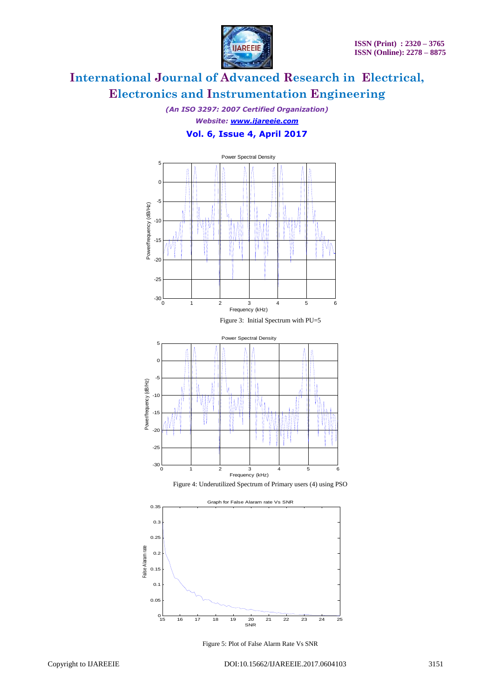

*(An ISO 3297: 2007 Certified Organization) Website: [www.ijareeie.com](http://www.ijareeie.com/)* **Vol. 6, Issue 4, April 2017**



Figure 4: Underutilized Spectrum of Primary users (4) using PSO



Figure 5: Plot of False Alarm Rate Vs SNR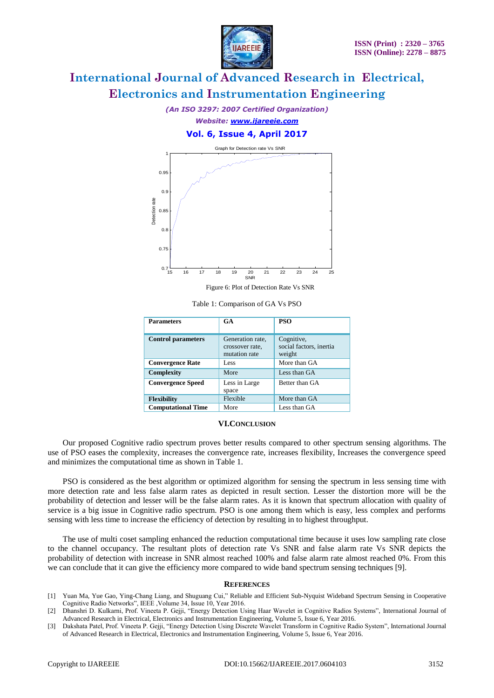

*(An ISO 3297: 2007 Certified Organization) Website: [www.ijareeie.com](http://www.ijareeie.com/)*

**Vol. 6, Issue 4, April 2017**



Figure 6: Plot of Detection Rate Vs SNR

Table 1: Comparison of GA Vs PSO

| <b>Parameters</b>         | <b>GA</b>                                            | <b>PSO</b>                                      |
|---------------------------|------------------------------------------------------|-------------------------------------------------|
| <b>Control parameters</b> | Generation rate,<br>crossover rate.<br>mutation rate | Cognitive,<br>social factors, inertia<br>weight |
| <b>Convergence Rate</b>   | Less                                                 | More than GA                                    |
| Complexity                | More                                                 | Less than GA                                    |
| <b>Convergence Speed</b>  | Less in Large<br>space                               | Better than GA                                  |
| <b>Flexibility</b>        | Flexible                                             | More than GA                                    |
| <b>Computational Time</b> | More                                                 | Less than GA                                    |

#### **VI.CONCLUSION**

Our proposed Cognitive radio spectrum proves better results compared to other spectrum sensing algorithms. The use of PSO eases the complexity, increases the convergence rate, increases flexibility, Increases the convergence speed and minimizes the computational time as shown in Table 1.

PSO is considered as the best algorithm or optimized algorithm for sensing the spectrum in less sensing time with more detection rate and less false alarm rates as depicted in result section. Lesser the distortion more will be the probability of detection and lesser will be the false alarm rates. As it is known that spectrum allocation with quality of service is a big issue in Cognitive radio spectrum. PSO is one among them which is easy, less complex and performs sensing with less time to increase the efficiency of detection by resulting in to highest throughput.

The use of multi coset sampling enhanced the reduction computational time because it uses low sampling rate close to the channel occupancy. The resultant plots of detection rate Vs SNR and false alarm rate Vs SNR depicts the probability of detection with increase in SNR almost reached 100% and false alarm rate almost reached 0%. From this we can conclude that it can give the efficiency more compared to wide band spectrum sensing techniques [9].

#### **REFERENCES**

- [1] Yuan Ma, Yue Gao, Ying-Chang Liang, and Shuguang Cui," Reliable and Efficient Sub-Nyquist Wideband Spectrum Sensing in Cooperative Cognitive Radio Networks", IEEE ,Volume 34, Issue 10, Year 2016.
- [2] Dhanshri D. Kulkarni, Prof. Vineeta P. Gejji, "Energy Detection Using Haar Wavelet in Cognitive Radios Systems", International Journal of Advanced Research in Electrical, Electronics and Instrumentation Engineering, Volume 5, Issue 6, Year 2016.
- [3] Dakshata Patel, Prof. Vineeta P. Gejji, "Energy Detection Using Discrete Wavelet Transform in Cognitive Radio System", International Journal of Advanced Research in Electrical, Electronics and Instrumentation Engineering, Volume 5, Issue 6, Year 2016.